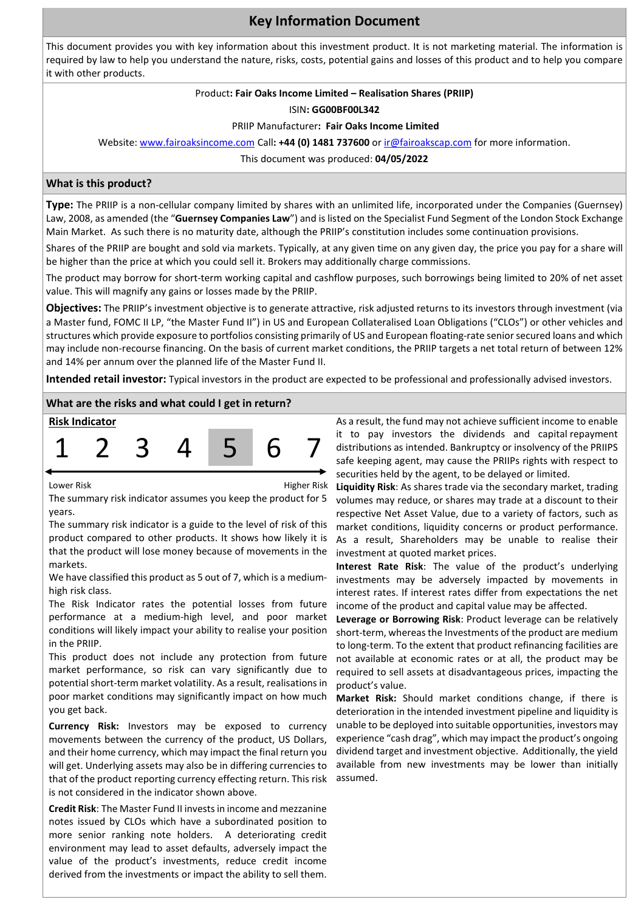# **Key Information Document**

This document provides you with key information about this investment product. It is not marketing material. The information is required by law to help you understand the nature, risks, costs, potential gains and losses of this product and to help you compare it with other products.

#### Product**: Fair Oaks Income Limited – Realisation Shares (PRIIP)**

ISIN**: GG00BF00L342** 

PRIIP Manufacturer**: Fair Oaks Income Limited** 

Website: www.fairoaksincome.com Call: +44 (0) 1481 737600 or ir@fairoakscap.com for more information.

This document was produced: **04/05/2022**

## **What is this product?**

**Type:** The PRIIP is a non-cellular company limited by shares with an unlimited life, incorporated under the Companies (Guernsey) Law, 2008, as amended (the "**Guernsey Companies Law**") and is listed on the Specialist Fund Segment of the London Stock Exchange Main Market. As such there is no maturity date, although the PRIIP's constitution includes some continuation provisions.

Shares of the PRIIP are bought and sold via markets. Typically, at any given time on any given day, the price you pay for a share will be higher than the price at which you could sell it. Brokers may additionally charge commissions.

The product may borrow for short-term working capital and cashflow purposes, such borrowings being limited to 20% of net asset value. This will magnify any gains or losses made by the PRIIP.

**Objectives:** The PRIIP's investment objective is to generate attractive, risk adjusted returns to its investors through investment (via a Master fund, FOMC II LP, "the Master Fund II") in US and European Collateralised Loan Obligations ("CLOs") or other vehicles and structures which provide exposure to portfolios consisting primarily of US and European floating-rate senior secured loans and which may include non-recourse financing. On the basis of current market conditions, the PRIIP targets a net total return of between 12% and 14% per annum over the planned life of the Master Fund II.

**Intended retail investor:** Typical investors in the product are expected to be professional and professionally advised investors.

#### **What are the risks and what could I get in return?**



Lower Risk **Higher Risk** Higher Risk

The summary risk indicator assumes you keep the product for 5 years.

The summary risk indicator is a guide to the level of risk of this product compared to other products. It shows how likely it is that the product will lose money because of movements in the markets.

We have classified this product as 5 out of 7, which is a mediumhigh risk class.

The Risk Indicator rates the potential losses from future performance at a medium-high level, and poor market conditions will likely impact your ability to realise your position in the PRIIP.

This product does not include any protection from future market performance, so risk can vary significantly due to potential short-term market volatility. As a result, realisations in poor market conditions may significantly impact on how much you get back.

**Currency Risk:** Investors may be exposed to currency movements between the currency of the product, US Dollars, and their home currency, which may impact the final return you will get. Underlying assets may also be in differing currencies to that of the product reporting currency effecting return. This risk is not considered in the indicator shown above.

**Credit Risk**: The Master Fund II invests in income and mezzanine notes issued by CLOs which have a subordinated position to more senior ranking note holders. A deteriorating credit environment may lead to asset defaults, adversely impact the value of the product's investments, reduce credit income derived from the investments or impact the ability to sell them.

it to pay investors the dividends and capital repayment distributions as intended. Bankruptcy or insolvency of the PRIIPS safe keeping agent, may cause the PRIIPs rights with respect to securities held by the agent, to be delayed or limited.

**Liquidity Risk**: As shares trade via the secondary market, trading volumes may reduce, or shares may trade at a discount to their respective Net Asset Value, due to a variety of factors, such as market conditions, liquidity concerns or product performance. As a result, Shareholders may be unable to realise their investment at quoted market prices.

**Interest Rate Risk**: The value of the product's underlying investments may be adversely impacted by movements in interest rates. If interest rates differ from expectations the net income of the product and capital value may be affected.

**Leverage or Borrowing Risk**: Product leverage can be relatively short-term, whereas the Investments of the product are medium to long-term. To the extent that product refinancing facilities are not available at economic rates or at all, the product may be required to sell assets at disadvantageous prices, impacting the product's value.

**Market Risk:** Should market conditions change, if there is deterioration in the intended investment pipeline and liquidity is unable to be deployed into suitable opportunities, investors may experience "cash drag", which may impact the product's ongoing dividend target and investment objective. Additionally, the yield available from new investments may be lower than initially assumed.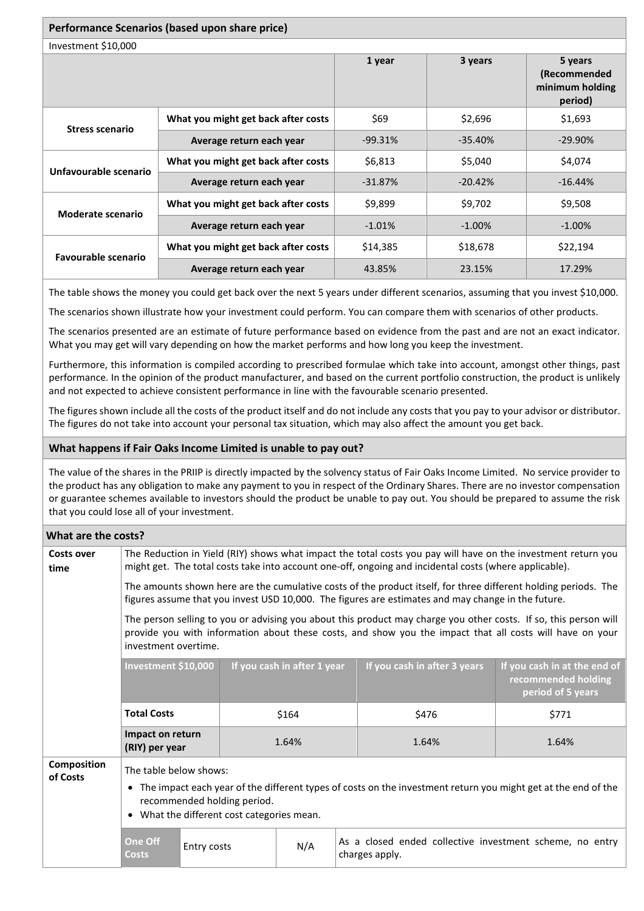| Performance Scenarios (based upon share price) |                                     |           |           |                                                       |  |  |
|------------------------------------------------|-------------------------------------|-----------|-----------|-------------------------------------------------------|--|--|
| Investment \$10,000                            |                                     |           |           |                                                       |  |  |
|                                                |                                     | 1 year    | 3 years   | 5 years<br>(Recommended<br>minimum holding<br>period) |  |  |
| <b>Stress scenario</b>                         | What you might get back after costs | \$69      | \$2,696   | \$1,693                                               |  |  |
|                                                | Average return each year            | $-99.31%$ | $-35.40%$ | $-29.90\%$                                            |  |  |
| Unfavourable scenario                          | What you might get back after costs | \$6,813   | \$5,040   | \$4,074                                               |  |  |
|                                                | Average return each year            | $-31.87%$ | $-20.42%$ | $-16.44%$                                             |  |  |
| Moderate scenario                              | What you might get back after costs | \$9,899   | \$9,702   | \$9,508                                               |  |  |
|                                                | Average return each year            | $-1.01\%$ | $-1.00\%$ | $-1.00\%$                                             |  |  |
| Favourable scenario                            | What you might get back after costs | \$14,385  | \$18,678  | \$22,194                                              |  |  |
|                                                | Average return each year            | 43.85%    | 23.15%    | 17.29%                                                |  |  |

The table shows the money you could get back over the next 5 years under different scenarios, assuming that you invest \$10,000.

The scenarios shown illustrate how your investment could perform. You can compare them with scenarios of other products.

The scenarios presented are an estimate of future performance based on evidence from the past and are not an exact indicator. What you may get will vary depending on how the market performs and how long you keep the investment.

Furthermore, this information is compiled according to prescribed formulae which take into account, amongst other things, past performance. In the opinion of the product manufacturer, and based on the current portfolio construction, the product is unlikely and not expected to achieve consistent performance in line with the favourable scenario presented.

The figures shown include all the costs of the product itself and do not include any costs that you pay to your advisor or distributor. The figures do not take into account your personal tax situation, which may also affect the amount you get back.

# **What happens if Fair Oaks Income Limited is unable to pay out?**

The value of the shares in the PRIIP is directly impacted by the solvency status of Fair Oaks Income Limited. No service provider to the product has any obligation to make any payment to you in respect of the Ordinary Shares. There are no investor compensation or guarantee schemes available to investors should the product be unable to pay out. You should be prepared to assume the risk that you could lose all of your investment.

## **What are the costs?**

| Costs over<br>time      | The Reduction in Yield (RIY) shows what impact the total costs you pay will have on the investment return you<br>might get. The total costs take into account one-off, ongoing and incidental costs (where applicable).<br>The amounts shown here are the cumulative costs of the product itself, for three different holding periods. The |  |                             |                                                                            |                              |                                                                          |       |
|-------------------------|--------------------------------------------------------------------------------------------------------------------------------------------------------------------------------------------------------------------------------------------------------------------------------------------------------------------------------------------|--|-----------------------------|----------------------------------------------------------------------------|------------------------------|--------------------------------------------------------------------------|-------|
|                         | figures assume that you invest USD 10,000. The figures are estimates and may change in the future.                                                                                                                                                                                                                                         |  |                             |                                                                            |                              |                                                                          |       |
|                         | The person selling to you or advising you about this product may charge you other costs. If so, this person will<br>provide you with information about these costs, and show you the impact that all costs will have on your<br>investment overtime.                                                                                       |  |                             |                                                                            |                              |                                                                          |       |
|                         | Investment \$10,000                                                                                                                                                                                                                                                                                                                        |  | If you cash in after 1 year |                                                                            | If you cash in after 3 years | If you cash in at the end of<br>recommended holding<br>period of 5 years |       |
|                         | <b>Total Costs</b>                                                                                                                                                                                                                                                                                                                         |  |                             | \$164                                                                      |                              | \$476                                                                    | \$771 |
|                         | Impact on return<br>(RIY) per year                                                                                                                                                                                                                                                                                                         |  | 1.64%                       |                                                                            | 1.64%                        | 1.64%                                                                    |       |
| Composition<br>of Costs | The table below shows:<br>The impact each year of the different types of costs on the investment return you might get at the end of the<br>$\bullet$<br>recommended holding period.<br>What the different cost categories mean.<br>$\bullet$                                                                                               |  |                             |                                                                            |                              |                                                                          |       |
|                         | One Off<br>Entry costs<br>Costs                                                                                                                                                                                                                                                                                                            |  | N/A                         | As a closed ended collective investment scheme, no entry<br>charges apply. |                              |                                                                          |       |